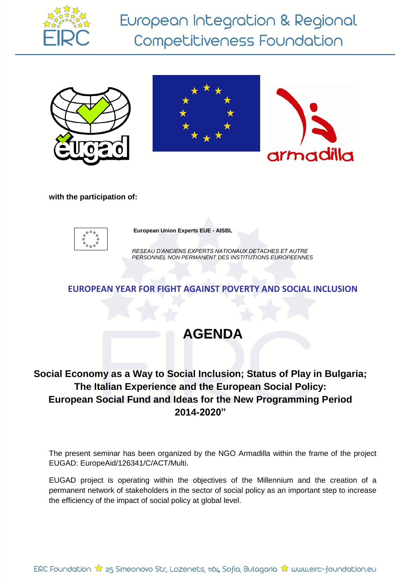

European Integration & Regional Competitiveness Foundation







**with the participation of:**



**European Union Experts EUE - AISBL**

*RESEAU D'ANCIENS EXPERTS NATIONAUX DETACHES ET AUTRE PERSONNEL NON PERMANENT DES INSTITUTIONS EUROPEENNES* 

### **EUROPEAN YEAR FOR FIGHT AGAINST POVERTY AND SOCIAL INCLUSION**

# **AGENDA**

## **Social Economy as a Way to Social Inclusion; Status of Play in Bulgaria; The Italian Experience and the European Social Policy: European Social Fund and Ideas for the New Programming Period 2014-2020"**

The present seminar has been organized by the NGO Armadilla within the frame of the project EUGAD: EuropeAid/126341/C/ACT/Multi.

EUGAD project is operating within the objectives of the Millennium and the creation of a permanent network of stakeholders in the sector of social policy as an important step to increase the efficiency of the impact of social policy at global level.